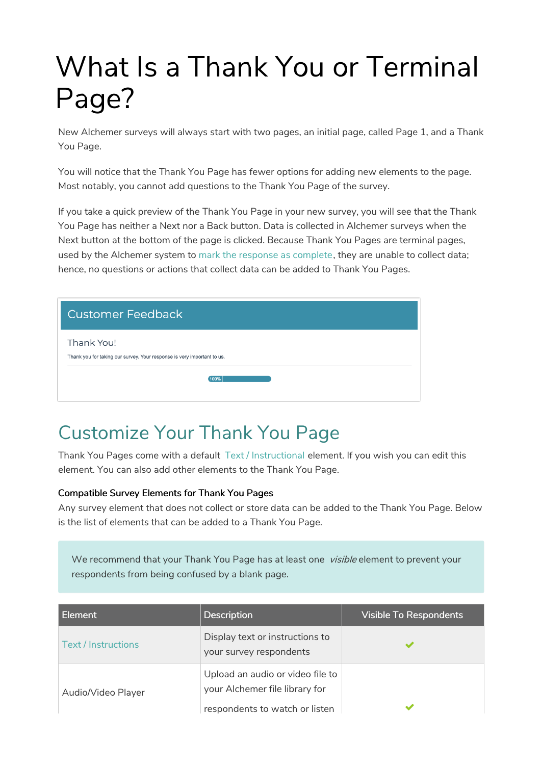## What Is a Thank You or Terminal Page?

New Alchemer surveys will always start with two pages, an initial page, called Page 1, and a Thank You Page.

You will notice that the Thank You Page has fewer options for adding new elements to the page. Most notably, you cannot add questions to the Thank You Page of the survey.

If you take a quick preview of the Thank You Page in your new survey, you will see that the Thank You Page has neither a Next nor a Back button. Data is collected in Alchemer surveys when the Next button at the bottom of the page is clicked. Because Thank You Pages are terminal pages, used by the Alchemer system to mark the response as complete, they are unable to collect data; hence, no questions or actions that collect data can be added to Thank You Pages.

| <b>Customer Feedback</b>                                                              |
|---------------------------------------------------------------------------------------|
| Thank You!<br>Thank you for taking our survey. Your response is very important to us. |
| 100%                                                                                  |

## Customize Your Thank You Page

Thank You Pages come with a default Text / Instructional element. If you wish you can edit this element. You can also add other elements to the Thank You Page.

## Compatible Survey Elements for Thank You Pages

Any survey element that does not collect or store data can be added to the Thank You Page. Below is the list of elements that can be added to a Thank You Page.

We recommend that your Thank You Page has at least one visible element to prevent your respondents from being confused by a blank page.

| Element                    | <b>Description</b>                                                                                   | <b>Visible To Respondents</b> |
|----------------------------|------------------------------------------------------------------------------------------------------|-------------------------------|
| <b>Text / Instructions</b> | Display text or instructions to<br>your survey respondents                                           |                               |
| Audio/Video Player         | Upload an audio or video file to<br>your Alchemer file library for<br>respondents to watch or listen |                               |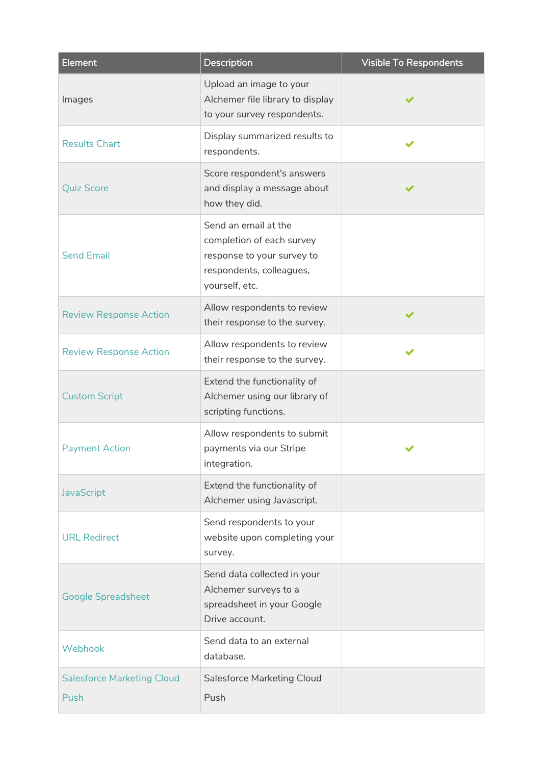| <b>Element</b>                            | <b>Description</b>                                                                                                            | <b>Visible To Respondents</b> |
|-------------------------------------------|-------------------------------------------------------------------------------------------------------------------------------|-------------------------------|
| Images                                    | Upload an image to your<br>Alchemer file library to display<br>to your survey respondents.                                    |                               |
| <b>Results Chart</b>                      | Display summarized results to<br>respondents.                                                                                 |                               |
| <b>Quiz Score</b>                         | Score respondent's answers<br>and display a message about<br>how they did.                                                    |                               |
| <b>Send Email</b>                         | Send an email at the<br>completion of each survey<br>response to your survey to<br>respondents, colleagues,<br>yourself, etc. |                               |
| <b>Review Response Action</b>             | Allow respondents to review<br>their response to the survey.                                                                  |                               |
| <b>Review Response Action</b>             | Allow respondents to review<br>their response to the survey.                                                                  |                               |
| <b>Custom Script</b>                      | Extend the functionality of<br>Alchemer using our library of<br>scripting functions.                                          |                               |
| <b>Payment Action</b>                     | Allow respondents to submit<br>payments via our Stripe<br>integration.                                                        |                               |
| <b>JavaScript</b>                         | Extend the functionality of<br>Alchemer using Javascript.                                                                     |                               |
| <b>URL Redirect</b>                       | Send respondents to your<br>website upon completing your<br>survey.                                                           |                               |
| <b>Google Spreadsheet</b>                 | Send data collected in your<br>Alchemer surveys to a<br>spreadsheet in your Google<br>Drive account.                          |                               |
| Webhook                                   | Send data to an external<br>database.                                                                                         |                               |
| <b>Salesforce Marketing Cloud</b><br>Push | <b>Salesforce Marketing Cloud</b><br>Push                                                                                     |                               |